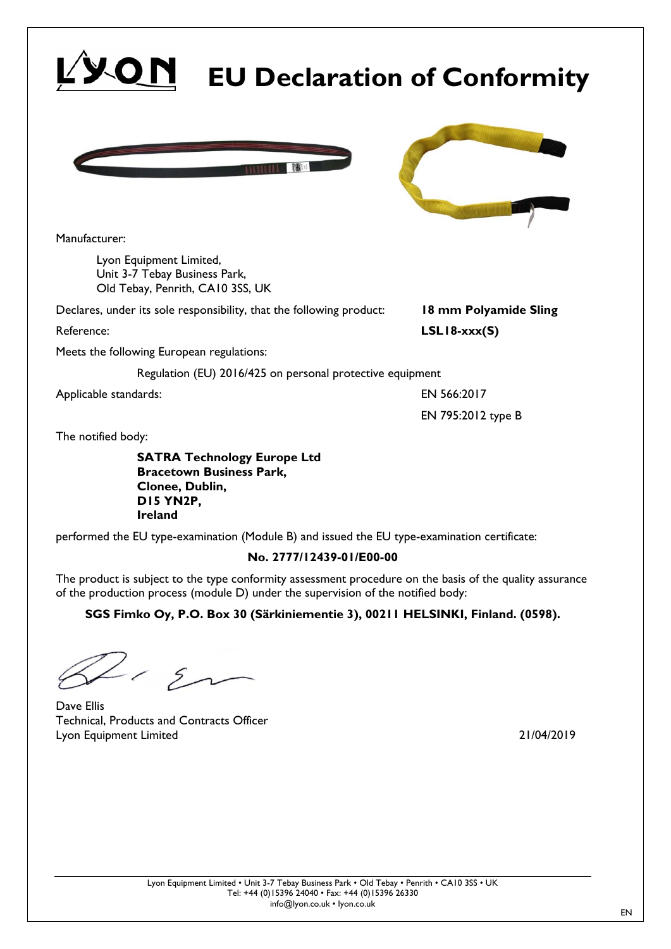Manufacturer:

Lyon Equipment Limited, Unit 3-7 Tebay Business Park, Old Tebay, Penrith, CA10 3SS, UK

Declares, under its sole responsibility, that the following product: **18 mm Polyamide Sling**

Reference: **LSL18-xxx(S)**

Meets the following European regulations:

Regulation (EU) 2016/425 on personal protective equipment

Applicable standards: EN 566:2017

The notified body:

**SATRA Technology Europe Ltd Bracetown Business Park, Clonee, Dublin, D15 YN2P, Ireland** 

performed the EU type-examination (Module B) and issued the EU type-examination certificate:

## **No. 2777/12439-01/E00-00**

The product is subject to the type conformity assessment procedure on the basis of the quality assurance of the production process (module D) under the supervision of the notified body:

**SGS Fimko Oy, P.O. Box 30 (Särkiniementie 3), 00211 HELSINKI, Finland. (0598).** 

 $-12$ Dave Ellis

Technical, Products and Contracts Officer Lyon Equipment Limited 21/04/2019



**EU Declaration of Conformity**



EN 795:2012 type B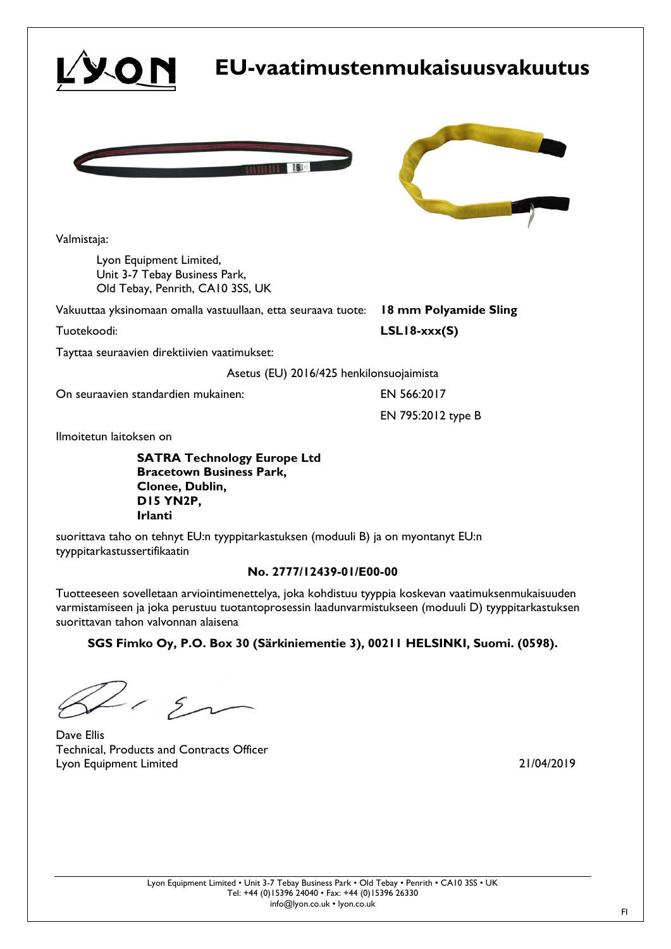

Ilmoitetun laitoksen on

**SATRA Technology Europe Ltd Bracetown Business Park, Clonee, Dublin, D15 YN2P, Irlanti** 

suorittava taho on tehnyt EU:n tyyppitarkastuksen (moduuli B) ja on myontanyt EU:n tyyppitarkastussertifikaatin

#### **No. 2777/12439-01/E00-00**

Tuotteeseen sovelletaan arviointimenettelya, joka kohdistuu tyyppia koskevan vaatimuksenmukaisuuden varmistamiseen ja joka perustuu tuotantoprosessin laadunvarmistukseen (moduuli D) tyyppitarkastuksen suorittavan tahon valvonnan alaisena

**SGS Fimko Oy, P.O. Box 30 (Särkiniementie 3), 00211 HELSINKI, Suomi. (0598).** 

 $112$ 

Dave Ellis Technical, Products and Contracts Officer Lyon Equipment Limited 21/04/2019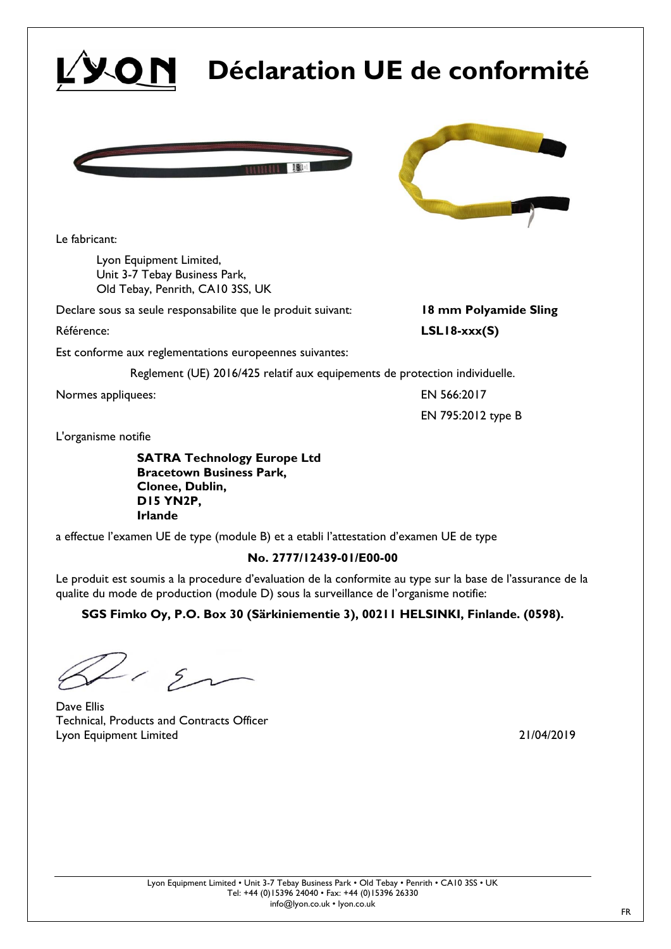# **Déclaration UE de conformité**





EN 795:2012 type B

Le fabricant:

Lyon Equipment Limited, Unit 3-7 Tebay Business Park, Old Tebay, Penrith, CA10 3SS, UK

Declare sous sa seule responsabilite que le produit suivant: **18 mm Polyamide Sling**

Référence: **LSL18-xxx(S)**

Est conforme aux reglementations europeennes suivantes:

Reglement (UE) 2016/425 relatif aux equipements de protection individuelle.

Normes appliquees: EN 566:2017

L'organisme notifie

**SATRA Technology Europe Ltd Bracetown Business Park, Clonee, Dublin, D15 YN2P, Irlande** 

a effectue l'examen UE de type (module B) et a etabli l'attestation d'examen UE de type

## **No. 2777/12439-01/E00-00**

Le produit est soumis a la procedure d'evaluation de la conformite au type sur la base de l'assurance de la qualite du mode de production (module D) sous la surveillance de l'organisme notifie:

**SGS Fimko Oy, P.O. Box 30 (Särkiniementie 3), 00211 HELSINKI, Finlande. (0598).** 

 $\sim$  En

Dave Ellis Technical, Products and Contracts Officer Lyon Equipment Limited 21/04/2019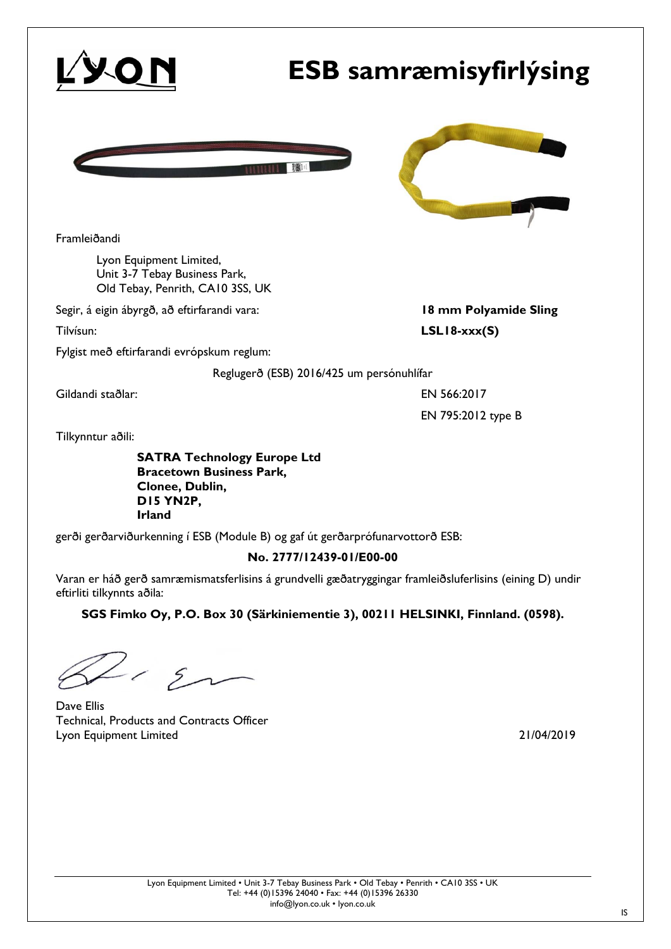|                                                                                                                               | <b>ESB</b> samræmisyfirlýsing             |
|-------------------------------------------------------------------------------------------------------------------------------|-------------------------------------------|
|                                                                                                                               |                                           |
| Framleiðandi                                                                                                                  |                                           |
| Lyon Equipment Limited,<br>Unit 3-7 Tebay Business Park,<br>Old Tebay, Penrith, CA10 3SS, UK                                  |                                           |
| Segir, á eigin ábyrgð, að eftirfarandi vara:                                                                                  | 18 mm Polyamide Sling                     |
| Tilvísun:                                                                                                                     | $LSL18-xxxx(S)$                           |
| Fylgist með eftirfarandi evrópskum reglum:                                                                                    |                                           |
|                                                                                                                               | Reglugerð (ESB) 2016/425 um persónuhlífar |
| Gildandi staðlar:                                                                                                             | EN 566:2017                               |
|                                                                                                                               | EN 795:2012 type B                        |
| Tilkynntur aðili:                                                                                                             |                                           |
| <b>SATRA Technology Europe Ltd</b><br><b>Bracetown Business Park,</b><br>Clonee, Dublin,<br><b>DI5 YN2P,</b><br><b>Irland</b> |                                           |

gerði gerðarviðurkenning í ESB (Module B) og gaf út gerðarprófunarvottorð ESB:

### **No. 2777/12439-01/E00-00**

Varan er háð gerð samræmismatsferlisins á grundvelli gæðatryggingar framleiðsluferlisins (eining D) undir eftirliti tilkynnts aðila:

**SGS Fimko Oy, P.O. Box 30 (Särkiniementie 3), 00211 HELSINKI, Finnland. (0598).** 

 $2.5$ 

Dave Ellis Technical, Products and Contracts Officer Lyon Equipment Limited 21/04/2019